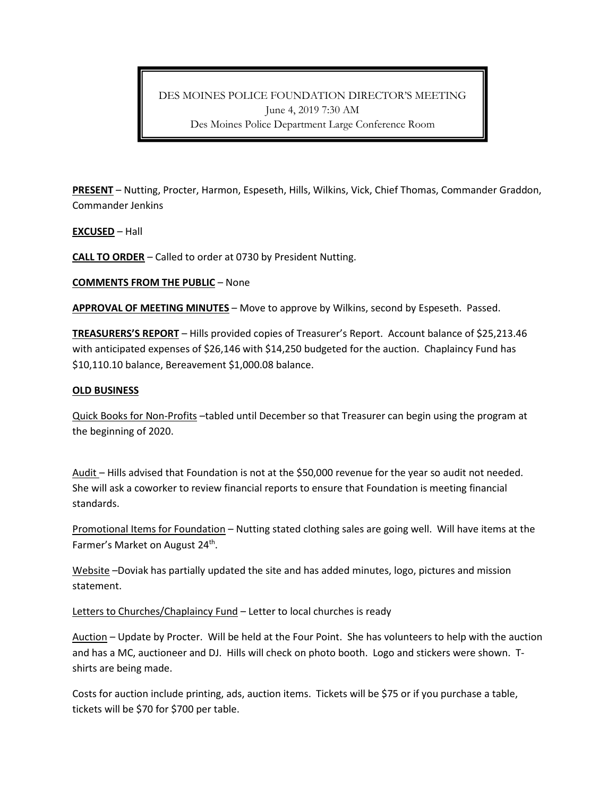DES MOINES POLICE FOUNDATION DIRECTOR'S MEETING June 4, 2019 7:30 AM Des Moines Police Department Large Conference Room

**PRESENT** – Nutting, Procter, Harmon, Espeseth, Hills, Wilkins, Vick, Chief Thomas, Commander Graddon, Commander Jenkins

**EXCUSED** – Hall

**CALL TO ORDER** – Called to order at 0730 by President Nutting.

**COMMENTS FROM THE PUBLIC** – None

**APPROVAL OF MEETING MINUTES** – Move to approve by Wilkins, second by Espeseth. Passed.

**TREASURERS'S REPORT** – Hills provided copies of Treasurer's Report. Account balance of \$25,213.46 with anticipated expenses of \$26,146 with \$14,250 budgeted for the auction. Chaplaincy Fund has \$10,110.10 balance, Bereavement \$1,000.08 balance.

## **OLD BUSINESS**

Quick Books for Non-Profits –tabled until December so that Treasurer can begin using the program at the beginning of 2020.

Audit – Hills advised that Foundation is not at the \$50,000 revenue for the year so audit not needed. She will ask a coworker to review financial reports to ensure that Foundation is meeting financial standards.

Promotional Items for Foundation – Nutting stated clothing sales are going well. Will have items at the Farmer's Market on August 24<sup>th</sup>.

Website –Doviak has partially updated the site and has added minutes, logo, pictures and mission statement.

Letters to Churches/Chaplaincy Fund - Letter to local churches is ready

Auction – Update by Procter. Will be held at the Four Point. She has volunteers to help with the auction and has a MC, auctioneer and DJ. Hills will check on photo booth. Logo and stickers were shown. Tshirts are being made.

Costs for auction include printing, ads, auction items. Tickets will be \$75 or if you purchase a table, tickets will be \$70 for \$700 per table.